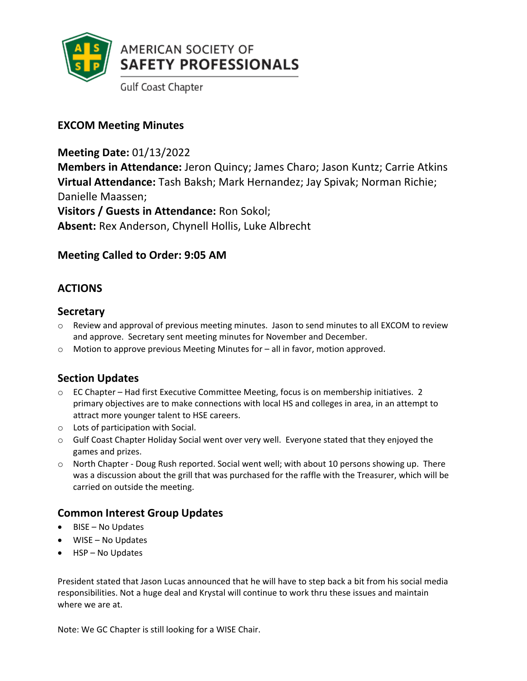

**Gulf Coast Chapter** 

## **EXCOM Meeting Minutes**

**Meeting Date:** 01/13/2022

**Members in Attendance:** Jeron Quincy; James Charo; Jason Kuntz; Carrie Atkins **Virtual Attendance:** Tash Baksh; Mark Hernandez; Jay Spivak; Norman Richie; Danielle Maassen;

**Visitors / Guests in Attendance:** Ron Sokol; **Absent:** Rex Anderson, Chynell Hollis, Luke Albrecht

# **Meeting Called to Order: 9:05 AM**

# **ACTIONS**

### **Secretary**

- o Review and approval of previous meeting minutes. Jason to send minutes to all EXCOM to review and approve. Secretary sent meeting minutes for November and December.
- $\circ$  Motion to approve previous Meeting Minutes for  $-$  all in favor, motion approved.

## **Section Updates**

- o EC Chapter Had first Executive Committee Meeting, focus is on membership initiatives. 2 primary objectives are to make connections with local HS and colleges in area, in an attempt to attract more younger talent to HSE careers.
- o Lots of participation with Social.
- o Gulf Coast Chapter Holiday Social went over very well. Everyone stated that they enjoyed the games and prizes.
- o North Chapter Doug Rush reported. Social went well; with about 10 persons showing up. There was a discussion about the grill that was purchased for the raffle with the Treasurer, which will be carried on outside the meeting.

## **Common Interest Group Updates**

- BISE No Updates
- WISE No Updates
- HSP No Updates

President stated that Jason Lucas announced that he will have to step back a bit from his social media responsibilities. Not a huge deal and Krystal will continue to work thru these issues and maintain where we are at.

Note: We GC Chapter is still looking for a WISE Chair.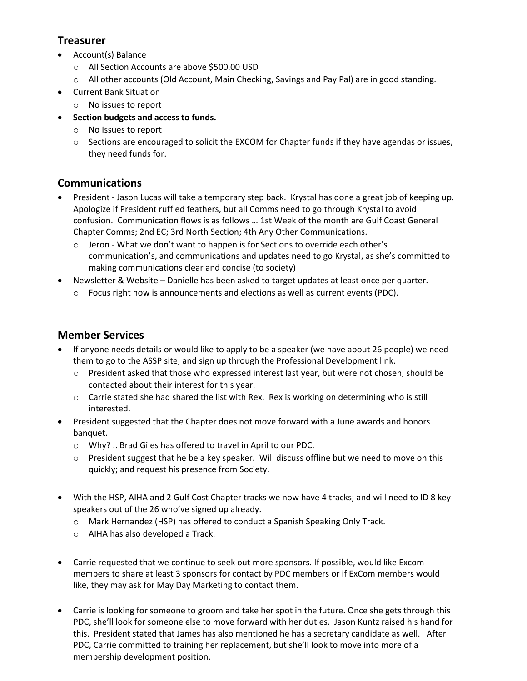### **Treasurer**

- Account(s) Balance
	- o All Section Accounts are above \$500.00 USD
	- o All other accounts (Old Account, Main Checking, Savings and Pay Pal) are in good standing.
- Current Bank Situation
	- o No issues to report
- **Section budgets and access to funds.**
	- o No Issues to report
	- o Sections are encouraged to solicit the EXCOM for Chapter funds if they have agendas or issues, they need funds for.

## **Communications**

- President Jason Lucas will take a temporary step back. Krystal has done a great job of keeping up. Apologize if President ruffled feathers, but all Comms need to go through Krystal to avoid confusion. Communication flows is as follows … 1st Week of the month are Gulf Coast General Chapter Comms; 2nd EC; 3rd North Section; 4th Any Other Communications.
	- $\circ$  Jeron What we don't want to happen is for Sections to override each other's communication's, and communications and updates need to go Krystal, as she's committed to making communications clear and concise (to society)
- Newsletter & Website Danielle has been asked to target updates at least once per quarter.
	- $\circ$  Focus right now is announcements and elections as well as current events (PDC).

# **Member Services**

- If anyone needs details or would like to apply to be a speaker (we have about 26 people) we need them to go to the ASSP site, and sign up through the Professional Development link.
	- o President asked that those who expressed interest last year, but were not chosen, should be contacted about their interest for this year.
	- o Carrie stated she had shared the list with Rex. Rex is working on determining who is still interested.
- President suggested that the Chapter does not move forward with a June awards and honors banquet.
	- o Why? .. Brad Giles has offered to travel in April to our PDC.
	- $\circ$  President suggest that he be a key speaker. Will discuss offline but we need to move on this quickly; and request his presence from Society.
- With the HSP, AIHA and 2 Gulf Cost Chapter tracks we now have 4 tracks; and will need to ID 8 key speakers out of the 26 who've signed up already.
	- o Mark Hernandez (HSP) has offered to conduct a Spanish Speaking Only Track.
	- o AIHA has also developed a Track.
- Carrie requested that we continue to seek out more sponsors. If possible, would like Excom members to share at least 3 sponsors for contact by PDC members or if ExCom members would like, they may ask for May Day Marketing to contact them.
- Carrie is looking for someone to groom and take her spot in the future. Once she gets through this PDC, she'll look for someone else to move forward with her duties. Jason Kuntz raised his hand for this. President stated that James has also mentioned he has a secretary candidate as well. After PDC, Carrie committed to training her replacement, but she'll look to move into more of a membership development position.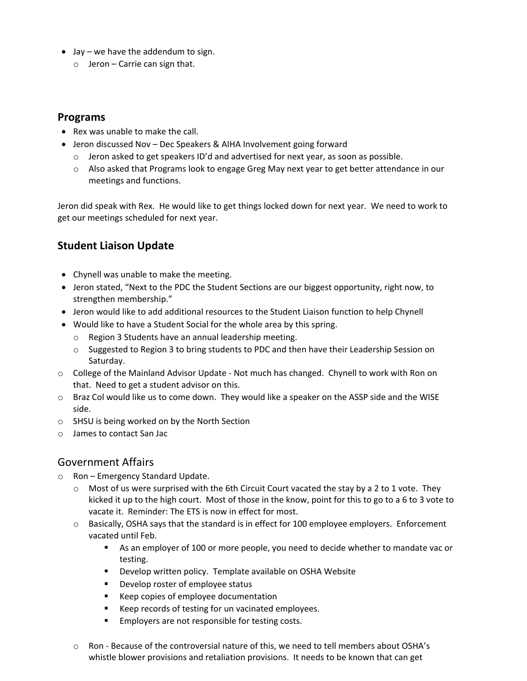- Jay we have the addendum to sign.
	- $\circ$  Jeron Carrie can sign that.

#### **Programs**

- Rex was unable to make the call.
- Jeron discussed Nov Dec Speakers & AIHA Involvement going forward
	- $\circ$  Jeron asked to get speakers ID'd and advertised for next year, as soon as possible.
	- o Also asked that Programs look to engage Greg May next year to get better attendance in our meetings and functions.

Jeron did speak with Rex. He would like to get things locked down for next year. We need to work to get our meetings scheduled for next year.

## **Student Liaison Update**

- Chynell was unable to make the meeting.
- Jeron stated, "Next to the PDC the Student Sections are our biggest opportunity, right now, to strengthen membership."
- Jeron would like to add additional resources to the Student Liaison function to help Chynell
- Would like to have a Student Social for the whole area by this spring.
	- o Region 3 Students have an annual leadership meeting.
	- o Suggested to Region 3 to bring students to PDC and then have their Leadership Session on Saturday.
- o College of the Mainland Advisor Update Not much has changed. Chynell to work with Ron on that. Need to get a student advisor on this.
- o Braz Col would like us to come down. They would like a speaker on the ASSP side and the WISE side.
- o SHSU is being worked on by the North Section
- o James to contact San Jac

### Government Affairs

- o Ron Emergency Standard Update.
	- $\circ$  Most of us were surprised with the 6th Circuit Court vacated the stay by a 2 to 1 vote. They kicked it up to the high court. Most of those in the know, point for this to go to a 6 to 3 vote to vacate it. Reminder: The ETS is now in effect for most.
	- $\circ$  Basically, OSHA says that the standard is in effect for 100 employee employers. Enforcement vacated until Feb.
		- As an employer of 100 or more people, you need to decide whether to mandate vac or testing.
		- **Develop written policy. Template available on OSHA Website**
		- **Develop roster of employee status**
		- Keep copies of employee documentation
		- Keep records of testing for un vacinated employees.
		- **Employers are not responsible for testing costs.**
	- o Ron Because of the controversial nature of this, we need to tell members about OSHA's whistle blower provisions and retaliation provisions. It needs to be known that can get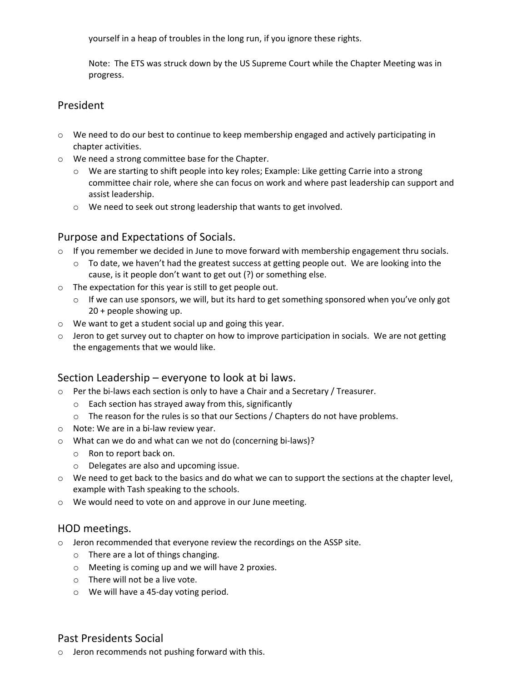yourself in a heap of troubles in the long run, if you ignore these rights.

Note: The ETS was struck down by the US Supreme Court while the Chapter Meeting was in progress.

### President

- $\circ$  We need to do our best to continue to keep membership engaged and actively participating in chapter activities.
- o We need a strong committee base for the Chapter.
	- o We are starting to shift people into key roles; Example: Like getting Carrie into a strong committee chair role, where she can focus on work and where past leadership can support and assist leadership.
	- o We need to seek out strong leadership that wants to get involved.

#### Purpose and Expectations of Socials.

- $\circ$  If you remember we decided in June to move forward with membership engagement thru socials.
	- $\circ$  To date, we haven't had the greatest success at getting people out. We are looking into the cause, is it people don't want to get out (?) or something else.
- o The expectation for this year is still to get people out.
	- $\circ$  If we can use sponsors, we will, but its hard to get something sponsored when you've only got 20 + people showing up.
- o We want to get a student social up and going this year.
- $\circ$  Jeron to get survey out to chapter on how to improve participation in socials. We are not getting the engagements that we would like.

### Section Leadership – everyone to look at bi laws.

- $\circ$  Per the bi-laws each section is only to have a Chair and a Secretary / Treasurer.
	- o Each section has strayed away from this, significantly
	- o The reason for the rules is so that our Sections / Chapters do not have problems.
- o Note: We are in a bi-law review year.
- o What can we do and what can we not do (concerning bi-laws)?
	- o Ron to report back on.
	- o Delegates are also and upcoming issue.
- $\circ$  We need to get back to the basics and do what we can to support the sections at the chapter level, example with Tash speaking to the schools.
- o We would need to vote on and approve in our June meeting.

#### HOD meetings.

- $\circ$  Jeron recommended that everyone review the recordings on the ASSP site.
	- o There are a lot of things changing.
	- o Meeting is coming up and we will have 2 proxies.
	- o There will not be a live vote.
	- o We will have a 45-day voting period.

#### Past Presidents Social

o Jeron recommends not pushing forward with this.